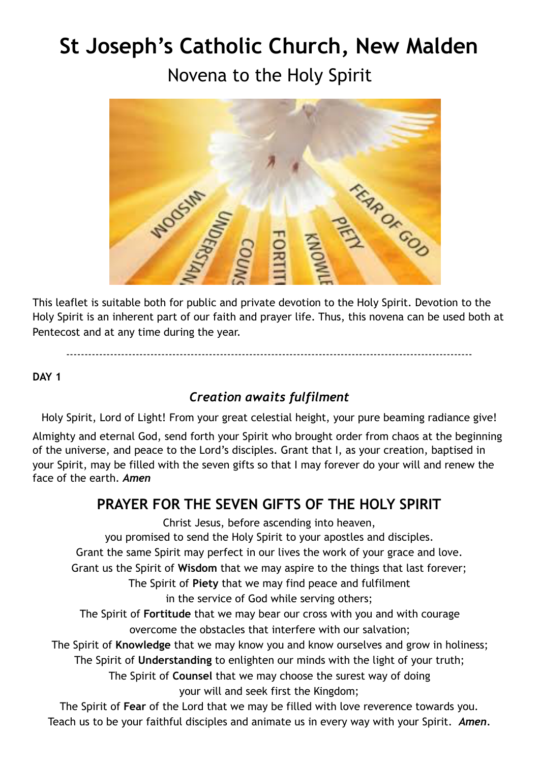# **St Joseph's Catholic Church, New Malden**

Novena to the Holy Spirit



This leaflet is suitable both for public and private devotion to the Holy Spirit. Devotion to the Holy Spirit is an inherent part of our faith and prayer life. Thus, this novena can be used both at Pentecost and at any time during the year.

---------------------------------------------------------------------------------------------------------------

**DAY 1**

## *Creation awaits fulfilment*

Holy Spirit, Lord of Light! From your great celestial height, your pure beaming radiance give!

Almighty and eternal God, send forth your Spirit who brought order from chaos at the beginning of the universe, and peace to the Lord's disciples. Grant that I, as your creation, baptised in your Spirit, may be filled with the seven gifts so that I may forever do your will and renew the face of the earth. *Amen* 

# **PRAYER FOR THE SEVEN GIFTS OF THE HOLY SPIRIT**

Christ Jesus, before ascending into heaven,

you promised to send the Holy Spirit to your apostles and disciples.

Grant the same Spirit may perfect in our lives the work of your grace and love.

Grant us the Spirit of **Wisdom** that we may aspire to the things that last forever;

The Spirit of **Piety** that we may find peace and fulfilment

in the service of God while serving others;

The Spirit of **Fortitude** that we may bear our cross with you and with courage overcome the obstacles that interfere with our salvation;

The Spirit of **Knowledge** that we may know you and know ourselves and grow in holiness;

The Spirit of **Understanding** to enlighten our minds with the light of your truth;

The Spirit of **Counsel** that we may choose the surest way of doing your will and seek first the Kingdom;

The Spirit of **Fear** of the Lord that we may be filled with love reverence towards you. Teach us to be your faithful disciples and animate us in every way with your Spirit. *Amen.*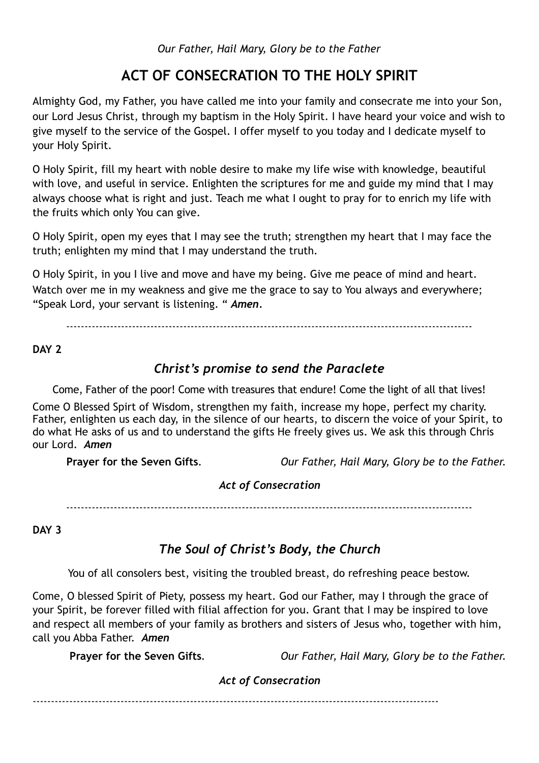## **ACT OF CONSECRATION TO THE HOLY SPIRIT**

Almighty God, my Father, you have called me into your family and consecrate me into your Son, our Lord Jesus Christ, through my baptism in the Holy Spirit. I have heard your voice and wish to give myself to the service of the Gospel. I offer myself to you today and I dedicate myself to your Holy Spirit.

O Holy Spirit, fill my heart with noble desire to make my life wise with knowledge, beautiful with love, and useful in service. Enlighten the scriptures for me and guide my mind that I may always choose what is right and just. Teach me what I ought to pray for to enrich my life with the fruits which only You can give.

O Holy Spirit, open my eyes that I may see the truth; strengthen my heart that I may face the truth; enlighten my mind that I may understand the truth.

O Holy Spirit, in you I live and move and have my being. Give me peace of mind and heart. Watch over me in my weakness and give me the grace to say to You always and everywhere; "Speak Lord, your servant is listening. " *Amen.*

---------------------------------------------------------------------------------------------------------------

#### **DAY 2**

#### *Christ's promise to send the Paraclete*

Come, Father of the poor! Come with treasures that endure! Come the light of all that lives!

Come O Blessed Spirt of Wisdom, strengthen my faith, increase my hope, perfect my charity. Father, enlighten us each day, in the silence of our hearts, to discern the voice of your Spirit, to do what He asks of us and to understand the gifts He freely gives us. We ask this through Chris our Lord. *Amen*

**Prayer for the Seven Gifts***. Our Father, Hail Mary, Glory be to the Father.* 

#### *Act of Consecration*

---------------------------------------------------------------------------------------------------------------

**DAY 3** 

## *The Soul of Christ's Body, the Church*

You of all consolers best, visiting the troubled breast, do refreshing peace bestow.

Come, O blessed Spirit of Piety, possess my heart. God our Father, may I through the grace of your Spirit, be forever filled with filial affection for you. Grant that I may be inspired to love and respect all members of your family as brothers and sisters of Jesus who, together with him, call you Abba Father. *Amen*

**Prayer for the Seven Gifts***. Our Father, Hail Mary, Glory be to the Father.* 

#### *Act of Consecration*

---------------------------------------------------------------------------------------------------------------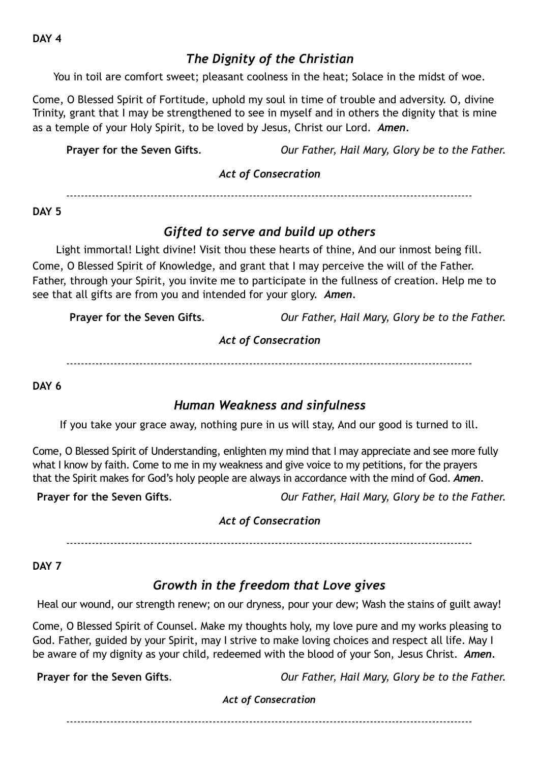## *The Dignity of the Christian*

You in toil are comfort sweet; pleasant coolness in the heat; Solace in the midst of woe.

Come, O Blessed Spirit of Fortitude, uphold my soul in time of trouble and adversity. O, divine Trinity, grant that I may be strengthened to see in myself and in others the dignity that is mine as a temple of your Holy Spirit, to be loved by Jesus, Christ our Lord. *Amen.* 

**Prayer for the Seven Gifts***. Our Father, Hail Mary, Glory be to the Father.* 

#### *Act of Consecration*

---------------------------------------------------------------------------------------------------------------

#### **DAY 5**

## *Gifted to serve and build up others*

Light immortal! Light divine! Visit thou these hearts of thine, And our inmost being fill. Come, O Blessed Spirit of Knowledge, and grant that I may perceive the will of the Father. Father, through your Spirit, you invite me to participate in the fullness of creation. Help me to see that all gifts are from you and intended for your glory. *Amen.*

**Prayer for the Seven Gifts***. Our Father, Hail Mary, Glory be to the Father.* 

#### *Act of Consecration*

---------------------------------------------------------------------------------------------------------------

**DAY 6** 

## *Human Weakness and sinfulness*

If you take your grace away, nothing pure in us will stay, And our good is turned to ill.

Come, O Blessed Spirit of Understanding, enlighten my mind that I may appreciate and see more fully what I know by faith. Come to me in my weakness and give voice to my petitions, for the prayers that the Spirit makes for God's holy people are always in accordance with the mind of God. *Amen.* 

**Prayer for the Seven Gifts***. Our Father, Hail Mary, Glory be to the Father.* 

#### *Act of Consecration*

---------------------------------------------------------------------------------------------------------------

**DAY 7** 

## *Growth in the freedom that Love gives*

Heal our wound, our strength renew; on our dryness, pour your dew; Wash the stains of guilt away!

Come, O Blessed Spirit of Counsel. Make my thoughts holy, my love pure and my works pleasing to God. Father, guided by your Spirit, may I strive to make loving choices and respect all life. May I be aware of my dignity as your child, redeemed with the blood of your Son, Jesus Christ. *Amen.* 

**Prayer for the Seven Gifts***. Our Father, Hail Mary, Glory be to the Father.* 

## *Act of Consecration*

---------------------------------------------------------------------------------------------------------------